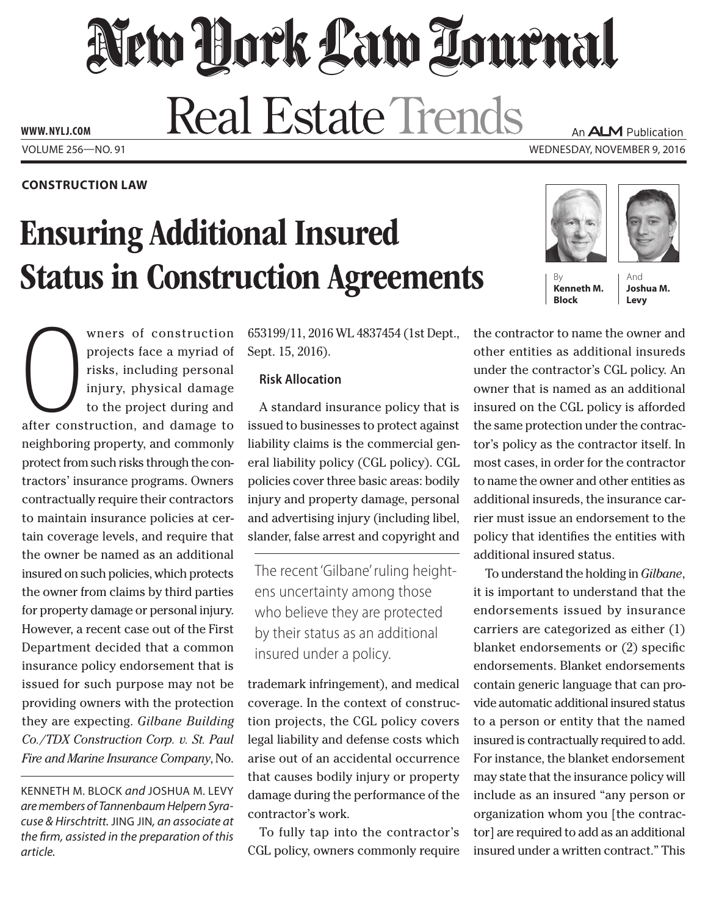New York Law Lournal **Real Estate Trends** 

Volume 256—NO. 91 Wednesday, November 9, 2016 **www. NYLJ.com**

**Construction Law**

# Ensuring Additional Insured **Status in Construction Agreements**

Where of construction<br>projects face a myriad of<br>risks, including personal<br>injury, physical damage<br>to the project during and<br>after construction, and damage to wners of construction projects face a myriad of risks, including personal injury, physical damage to the project during and neighboring property, and commonly protect from such risks through the contractors' insurance programs. Owners contractually require their contractors to maintain insurance policies at certain coverage levels, and require that the owner be named as an additional insured on such policies, which protects the owner from claims by third parties for property damage or personal injury. However, a recent case out of the First Department decided that a common insurance policy endorsement that is issued for such purpose may not be providing owners with the protection they are expecting. *Gilbane Building Co./TDX Construction Corp. v. St. Paul Fire and Marine Insurance Company*, No.

Kenneth M. Block *and* Joshua M. Levy *are members of Tannenbaum Helpern Syracuse & Hirschtritt.* Jing Jin*, an associate at the firm, assisted in the preparation of this article.*

653199/11, 2016 WL 4837454 (1st Dept., Sept. 15, 2016).

# **Risk Allocation**

A standard insurance policy that is issued to businesses to protect against liability claims is the commercial general liability policy (CGL policy). CGL policies cover three basic areas: bodily injury and property damage, personal and advertising injury (including libel, slander, false arrest and copyright and

The recent 'Gilbane' ruling heightens uncertainty among those who believe they are protected by their status as an additional insured under a policy.

trademark infringement), and medical coverage. In the context of construction projects, the CGL policy covers legal liability and defense costs which arise out of an accidental occurrence that causes bodily injury or property damage during the performance of the contractor's work.

To fully tap into the contractor's CGL policy, owners commonly require





An **ALM** Publication

**Kenneth M. Block**

And **Joshua M. Levy**

the contractor to name the owner and other entities as additional insureds under the contractor's CGL policy. An owner that is named as an additional insured on the CGL policy is afforded the same protection under the contractor's policy as the contractor itself. In most cases, in order for the contractor to name the owner and other entities as additional insureds, the insurance carrier must issue an endorsement to the policy that identifies the entities with additional insured status.

To understand the holding in *Gilbane*, it is important to understand that the endorsements issued by insurance carriers are categorized as either (1) blanket endorsements or (2) specific endorsements. Blanket endorsements contain generic language that can provide automatic additional insured status to a person or entity that the named insured is contractually required to add. For instance, the blanket endorsement may state that the insurance policy will include as an insured "any person or organization whom you [the contractor] are required to add as an additional insured under a written contract." This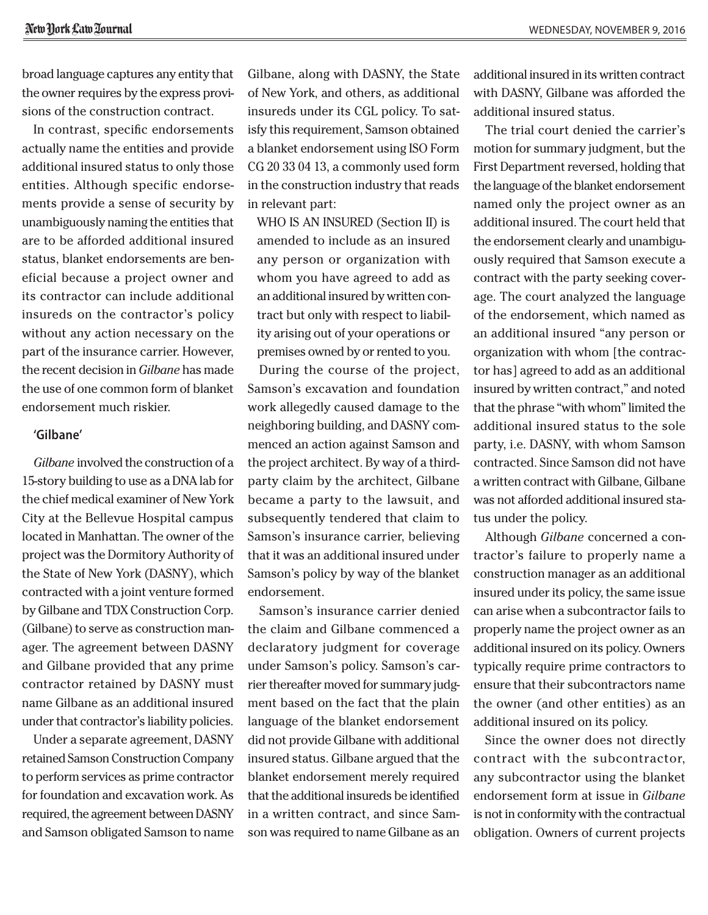broad language captures any entity that the owner requires by the express provisions of the construction contract.

In contrast, specific endorsements actually name the entities and provide additional insured status to only those entities. Although specific endorsements provide a sense of security by unambiguously naming the entities that are to be afforded additional insured status, blanket endorsements are beneficial because a project owner and its contractor can include additional insureds on the contractor's policy without any action necessary on the part of the insurance carrier. However, the recent decision in *Gilbane* has made the use of one common form of blanket endorsement much riskier.

#### **'Gilbane'**

*Gilbane* involved the construction of a 15-story building to use as a DNA lab for the chief medical examiner of New York City at the Bellevue Hospital campus located in Manhattan. The owner of the project was the Dormitory Authority of the State of New York (DASNY), which contracted with a joint venture formed by Gilbane and TDX Construction Corp. (Gilbane) to serve as construction manager. The agreement between DASNY and Gilbane provided that any prime contractor retained by DASNY must name Gilbane as an additional insured under that contractor's liability policies.

Under a separate agreement, DASNY retained Samson Construction Company to perform services as prime contractor for foundation and excavation work. As required, the agreement between DASNY and Samson obligated Samson to name Gilbane, along with DASNY, the State of New York, and others, as additional insureds under its CGL policy. To satisfy this requirement, Samson obtained a blanket endorsement using ISO Form CG 20 33 04 13, a commonly used form in the construction industry that reads in relevant part:

WHO IS AN INSURED (Section II) is amended to include as an insured any person or organization with whom you have agreed to add as an additional insured by written contract but only with respect to liability arising out of your operations or premises owned by or rented to you.

During the course of the project, Samson's excavation and foundation work allegedly caused damage to the neighboring building, and DASNY commenced an action against Samson and the project architect. By way of a thirdparty claim by the architect, Gilbane became a party to the lawsuit, and subsequently tendered that claim to Samson's insurance carrier, believing that it was an additional insured under Samson's policy by way of the blanket endorsement.

Samson's insurance carrier denied the claim and Gilbane commenced a declaratory judgment for coverage under Samson's policy. Samson's carrier thereafter moved for summary judgment based on the fact that the plain language of the blanket endorsement did not provide Gilbane with additional insured status. Gilbane argued that the blanket endorsement merely required that the additional insureds be identified in a written contract, and since Samson was required to name Gilbane as an additional insured in its written contract with DASNY, Gilbane was afforded the additional insured status.

The trial court denied the carrier's motion for summary judgment, but the First Department reversed, holding that the language of the blanket endorsement named only the project owner as an additional insured. The court held that the endorsement clearly and unambiguously required that Samson execute a contract with the party seeking coverage. The court analyzed the language of the endorsement, which named as an additional insured "any person or organization with whom [the contractor has] agreed to add as an additional insured by written contract," and noted that the phrase "with whom" limited the additional insured status to the sole party, i.e. DASNY, with whom Samson contracted. Since Samson did not have a written contract with Gilbane, Gilbane was not afforded additional insured status under the policy.

Although *Gilbane* concerned a contractor's failure to properly name a construction manager as an additional insured under its policy, the same issue can arise when a subcontractor fails to properly name the project owner as an additional insured on its policy. Owners typically require prime contractors to ensure that their subcontractors name the owner (and other entities) as an additional insured on its policy.

Since the owner does not directly contract with the subcontractor, any subcontractor using the blanket endorsement form at issue in *Gilbane* is not in conformity with the contractual obligation. Owners of current projects